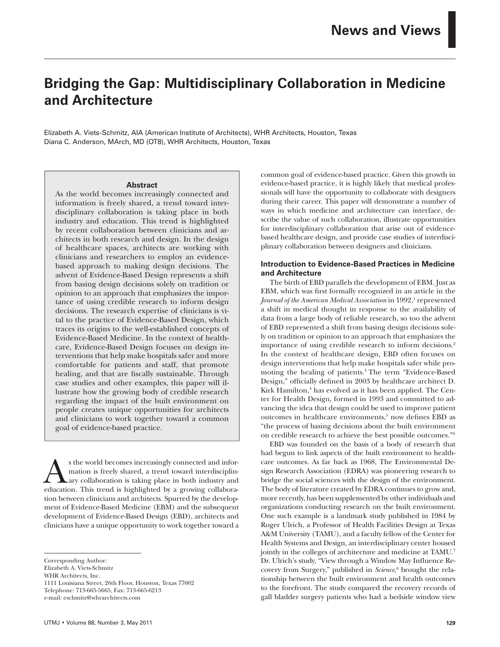# **Bridging the Gap: Multidisciplinary Collaboration in Medicine and Architecture**

Elizabeth A. Viets-Schmitz, AIA (American Institute of Architects), WHR Architects, Houston, Texas Diana C. Anderson, MArch, MD (OT8), WHR Architects, Houston, Texas

#### **Abstract**

As the world becomes increasingly connected and information is freely shared, a trend toward interdisciplinary collaboration is taking place in both industry and education. This trend is highlighted by recent collaboration between clinicians and architects in both research and design. In the design of healthcare spaces, architects are working with clinicians and researchers to employ an evidencebased approach to making design decisions. The advent of Evidence-Based Design represents a shift from basing design decisions solely on tradition or opinion to an approach that emphasizes the importance of using credible research to inform design decisions. The research expertise of clinicians is vital to the practice of Evidence-Based Design, which traces its origins to the well-established concepts of Evidence-Based Medicine. In the context of healthcare, Evidence-Based Design focuses on design interventions that help make hospitals safer and more comfortable for patients and staff, that promote healing, and that are fiscally sustainable. Through case studies and other examples, this paper will illustrate how the growing body of credible research regarding the impact of the built environment on people creates unique opportunities for architects and clinicians to work together toward a common goal of evidence-based practice.

s the world becomes increasingly connected and infor-<br>
ary collaboration is taking place in both industry and<br>
education This trend is highlighted by a growing collaboramation is freely shared, a trend toward interdisciplineducation. This trend is highlighted by a growing collaboration between clinicians and architects. Spurred by the development of Evidence-Based Medicine (EBM) and the subsequent development of Evidence-Based Design (EBD), architects and clinicians have a unique opportunity to work together toward a

1111 Louisiana Street, 26th Floor, Houston, Texas 77002 Telephone: 713-665-5665, Fax: 713-665-6213

e-mail: eschmitz@whrarchitects.com

common goal of evidence-based practice. Given this growth in evidence-based practice, it is highly likely that medical professionals will have the opportunity to collaborate with designers during their career. This paper will demonstrate a number of ways in which medicine and architecture can interface, describe the value of such collaboration, illustrate opportunities for interdisciplinary collaboration that arise out of evidencebased healthcare design, and provide case studies of interdisciplinary collaboration between designers and clinicians.

## **Introduction to Evidence-Based Practices in Medicine and Architecture**

The birth of EBD parallels the development of EBM. Just as EBM, which was first formally recognized in an article in the Journal of the American Medical Association in 1992,<sup>1</sup> represented a shift in medical thought in response to the availability of data from a large body of reliable research, so too the advent of EBD represented a shift from basing design decisions solely on tradition or opinion to an approach that emphasizes the importance of using credible research to inform decisions.2 In the context of healthcare design, EBD often focuses on design interventions that help make hospitals safer while promoting the healing of patients.3 The term "Evidence-Based Design," officially defined in 2003 by healthcare architect D. Kirk Hamilton,<sup>4</sup> has evolved as it has been applied. The Center for Health Design, formed in 1993 and committed to advancing the idea that design could be used to improve patient outcomes in healthcare environments,<sup>5</sup> now defines EBD as "the process of basing decisions about the built environment on credible research to achieve the best possible outcomes."6

EBD was founded on the basis of a body of research that had begun to link aspects of the built environment to healthcare outcomes. As far back as 1968, The Environmental Design Research Association (EDRA) was pioneering research to bridge the social sciences with the design of the environment. The body of literature created by EDRA continues to grow and, more recently, has been supplemented by other individuals and organizations conducting research on the built environment. One such example is a landmark study published in 1984 by Roger Ulrich, a Professor of Health Facilities Design at Texas A&M University (TAMU), and a faculty fellow of the Center for Health Systems and Design, an interdisciplinary center housed jointly in the colleges of architecture and medicine at TAMU.<sup>7</sup> Dr. Ulrich's study, "View through a Window May Influence Recovery from Surgery," published in *Science,*<sup>8</sup> brought the relationship between the built environment and health outcomes to the forefront. The study compared the recovery records of gall bladder surgery patients who had a bedside window view

Corresponding Author:

Elizabeth A. Viets-Schmitz

WHR Architects, Inc.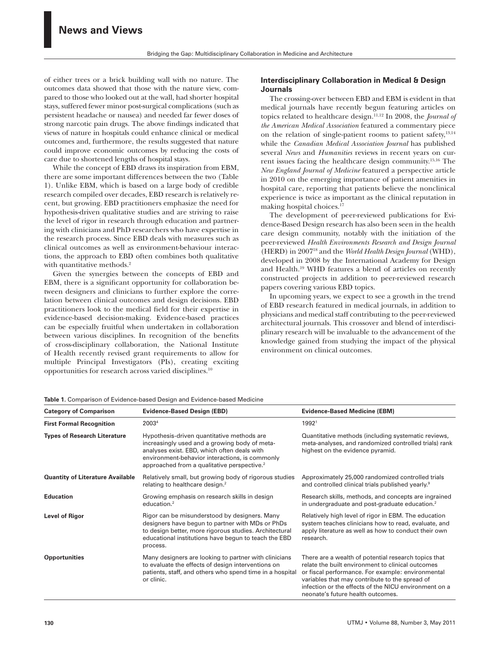of either trees or a brick building wall with no nature. The outcomes data showed that those with the nature view, compared to those who looked out at the wall, had shorter hospital stays, suffered fewer minor post-surgical complications (such as persistent headache or nausea) and needed far fewer doses of strong narcotic pain drugs. The above findings indicated that views of nature in hospitals could enhance clinical or medical outcomes and, furthermore, the results suggested that nature could improve economic outcomes by reducing the costs of care due to shortened lengths of hospital stays.

While the concept of EBD draws its inspiration from EBM, there are some important differences between the two (Table 1). Unlike EBM, which is based on a large body of credible research compiled over decades, EBD research is relatively recent, but growing. EBD practitioners emphasize the need for hypothesis-driven qualitative studies and are striving to raise the level of rigor in research through education and partnering with clinicians and PhD researchers who have expertise in the research process. Since EBD deals with measures such as clinical outcomes as well as environment-behaviour interactions, the approach to EBD often combines both qualitative with quantitative methods.<sup>2</sup>

Given the synergies between the concepts of EBD and EBM, there is a significant opportunity for collaboration between designers and clinicians to further explore the correlation between clinical outcomes and design decisions. EBD practitioners look to the medical field for their expertise in evidence-based decision-making. Evidence-based practices can be especially fruitful when undertaken in collaboration between various disciplines. In recognition of the benefits of cross-disciplinary collaboration, the National Institute of Health recently revised grant requirements to allow for multiple Principal Investigators (PIs), creating exciting opportunities for research across varied disciplines.<sup>1</sup>

## **Interdisciplinary Collaboration in Medical & Design Journals**

The crossing-over between EBD and EBM is evident in that medical journals have recently begun featuring articles on topics related to healthcare design.11,12 In 2008, the *Journal of the American Medical Association* featured a commentary piece on the relation of single-patient rooms to patient safety,13,14 while the *Canadian Medical Association Journal* has published several *News* and *Humanities* reviews in recent years on current issues facing the healthcare design community.15,16 The *New England Journal of Medicine* featured a perspective article in 2010 on the emerging importance of patient amenities in hospital care, reporting that patients believe the nonclinical experience is twice as important as the clinical reputation in making hospital choices.17

The development of peer-reviewed publications for Evidence-Based Design research has also been seen in the health care design community, notably with the initiation of the peer-reviewed *Health Environments Research and Design Journal* (HERD) in 200718 and the *World Health Design Journal* (WHD), developed in 2008 by the International Academy for Design and Health.19 WHD features a blend of articles on recently constructed projects in addition to peer-reviewed research papers covering various EBD topics.

In upcoming years, we expect to see a growth in the trend of EBD research featured in medical journals, in addition to physicians and medical staff contributing to the peer-reviewed architectural journals. This crossover and blend of interdisciplinary research will be invaluable to the advancement of the knowledge gained from studying the impact of the physical environment on clinical outcomes.

| <b>Category of Comparison</b>           | <b>Evidence-Based Design (EBD)</b>                                                                                                                                                                                                                      | <b>Evidence-Based Medicine (EBM)</b>                                                                                                                                                                                                                                                                           |
|-----------------------------------------|---------------------------------------------------------------------------------------------------------------------------------------------------------------------------------------------------------------------------------------------------------|----------------------------------------------------------------------------------------------------------------------------------------------------------------------------------------------------------------------------------------------------------------------------------------------------------------|
| <b>First Formal Recognition</b>         | 20034                                                                                                                                                                                                                                                   | 19921                                                                                                                                                                                                                                                                                                          |
| <b>Types of Research Literature</b>     | Hypothesis-driven quantitative methods are<br>increasingly used and a growing body of meta-<br>analyses exist. EBD, which often deals with<br>environment-behavior interactions, is commonly<br>approached from a qualitative perspective. <sup>2</sup> | Quantitative methods (including systematic reviews,<br>meta-analyses, and randomized controlled trials) rank<br>highest on the evidence pyramid.                                                                                                                                                               |
| <b>Quantity of Literature Available</b> | Relatively small, but growing body of rigorous studies<br>relating to healthcare design. <sup>2</sup>                                                                                                                                                   | Approximately 25,000 randomized controlled trials<br>and controlled clinical trials published yearly. <sup>9</sup>                                                                                                                                                                                             |
| <b>Education</b>                        | Growing emphasis on research skills in design<br>education. <sup>2</sup>                                                                                                                                                                                | Research skills, methods, and concepts are ingrained<br>in undergraduate and post-graduate education. <sup>2</sup>                                                                                                                                                                                             |
| Level of Rigor                          | Rigor can be misunderstood by designers. Many<br>designers have begun to partner with MDs or PhDs<br>to design better, more rigorous studies. Architectural<br>educational institutions have begun to teach the EBD<br>process.                         | Relatively high level of rigor in EBM. The education<br>system teaches clinicians how to read, evaluate, and<br>apply literature as well as how to conduct their own<br>research.                                                                                                                              |
| <b>Opportunities</b>                    | Many designers are looking to partner with clinicians<br>to evaluate the effects of design interventions on<br>patients, staff, and others who spend time in a hospital<br>or clinic.                                                                   | There are a wealth of potential research topics that<br>relate the built environment to clinical outcomes<br>or fiscal performance. For example: environmental<br>variables that may contribute to the spread of<br>infection or the effects of the NICU environment on a<br>neonate's future health outcomes. |

**Table 1.** Comparison of Evidence-based Design and Evidence-based Medicine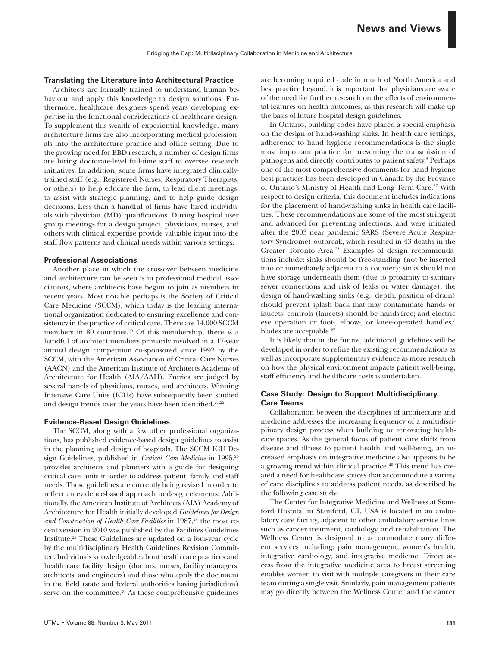#### **Translating the Literature into Architectural Practice**

Architects are formally trained to understand human behaviour and apply this knowledge to design solutions. Furthermore, healthcare designers spend years developing expertise in the functional considerations of healthcare design. To supplement this wealth of experiential knowledge, many architecture firms are also incorporating medical professionals into the architecture practice and office setting. Due to the growing need for EBD research, a number of design firms are hiring doctorate-level full-time staff to oversee research initiatives. In addition, some firms have integrated clinicallytrained staff (e.g., Registered Nurses, Respiratory Therapists, or others) to help educate the firm, to lead client meetings, to assist with strategic planning, and to help guide design decisions. Less than a handful of firms have hired individuals with physician (MD) qualifications. During hospital user group meetings for a design project, physicians, nurses, and others with clinical expertise provide valuable input into the staff flow patterns and clinical needs within various settings.

#### **Professional Associations**

Another place in which the crossover between medicine and architecture can be seen is in professional medical associations, where architects have begun to join as members in recent years. Most notable perhaps is the Society of Critical Care Medicine (SCCM), which today is the leading international organization dedicated to ensuring excellence and consistency in the practice of critical care. There are 14,000 SCCM members in 80 countries.<sup>20</sup> Of this membership, there is a handful of architect members primarily involved in a 17-year annual design competition co-sponsored since 1992 by the SCCM, with the American Association of Critical Care Nurses (AACN) and the American Institute of Architects Academy of Architecture for Health (AIA/AAH). Entries are judged by several panels of physicians, nurses, and architects. Winning Intensive Care Units (ICUs) have subsequently been studied and design trends over the years have been identified.<sup>21,22</sup>

#### **Evidence-Based Design Guidelines**

The SCCM, along with a few other professional organizations, has published evidence-based design guidelines to assist in the planning and design of hospitals. The SCCM ICU Design Guidelines, published in *Critical Care Medicine* in 1995,<sup>23</sup> provides architects and planners with a guide for designing critical care units in order to address patient, family and staff needs. These guidelines are currently being revised in order to reflect an evidence-based approach to design elements. Additionally, the American Institute of Architects (AIA) Academy of Architecture for Health initially developed *Guidelines for Design*  and Construction of Health Care Facilities in 1987,<sup>24</sup> the most recent version in 2010 was published by the Facilities Guidelines Institute.25 These Guidelines are updated on a four-year cycle by the multidisciplinary Health Guidelines Revision Committee. Individuals knowledgeable about health care practices and health care facility design (doctors, nurses, facility managers, architects, and engineers) and those who apply the document in the field (state and federal authorities having jurisdiction) serve on the committee.<sup>26</sup> As these comprehensive guidelines

are becoming required code in much of North America and best practice beyond, it is important that physicians are aware of the need for further research on the effects of environmental features on health outcomes, as this research will make up the basis of future hospital design guidelines.

In Ontario, building codes have placed a special emphasis on the design of hand-washing sinks. In health care settings, adherence to hand hygiene recommendations is the single most important practice for preventing the transmission of pathogens and directly contributes to patient safety.3 Perhaps one of the most comprehensive documents for hand hygiene best practices has been developed in Canada by the Province of Ontario's Ministry of Health and Long Term Care.<sup>27</sup> With respect to design criteria, this document includes indications for the placement of hand-washing sinks in health care facilities. These recommendations are some of the most stringent and advanced for preventing infections, and were initiated after the 2003 near pandemic SARS (Severe Acute Respiratory Syndrome) outbreak, which resulted in 43 deaths in the Greater Toronto Area.28 Examples of design recommendations include: sinks should be free-standing (not be inserted into or immediately adjacent to a counter); sinks should not have storage underneath them (due to proximity to sanitary sewer connections and risk of leaks or water damage); the design of hand-washing sinks (e.g., depth, position of drain) should prevent splash back that may contaminate hands or faucets; controls (faucets) should be hands-free; and electric eye operation or foot-, elbow-, or knee-operated handles/ blades are acceptable.<sup>27</sup>

It is likely that in the future, additional guidelines will be developed in order to refine the existing recommendations as well as incorporate supplementary evidence as more research on how the physical environment impacts patient well-being, staff efficiency and healthcare costs is undertaken.

## **Case Study: Design to Support Multidisciplinary Care Teams**

Collaboration between the disciplines of architecture and medicine addresses the increasing frequency of a multidisciplinary design process when building or renovating healthcare spaces. As the general focus of patient care shifts from disease and illness to patient health and well-being, an increased emphasis on integrative medicine also appears to be a growing trend within clinical practice.29 This trend has created a need for healthcare spaces that accommodate a variety of care disciplines to address patient needs, as described by the following case study.

The Center for Integrative Medicine and Wellness at Stamford Hospital in Stamford, CT, USA is located in an ambulatory care facility, adjacent to other ambulatory service lines such as cancer treatment, cardiology, and rehabilitation. The Wellness Center is designed to accommodate many different services including: pain management, women's health, integrative cardiology, and integrative medicine. Direct access from the integrative medicine area to breast screening enables women to visit with multiple caregivers in their care team during a single visit. Similarly, pain management patients may go directly between the Wellness Center and the cancer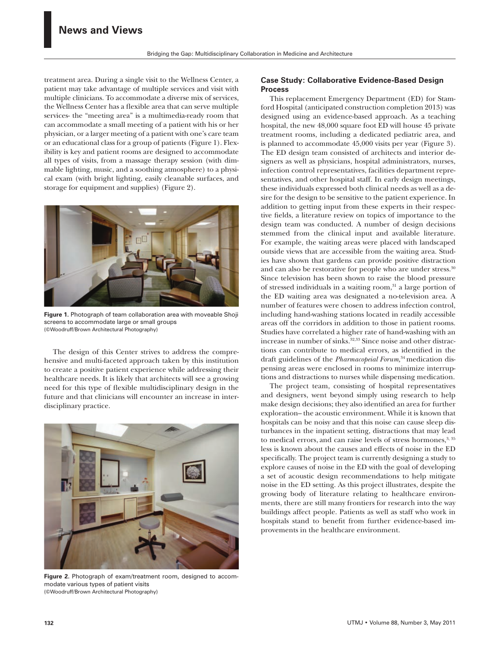treatment area. During a single visit to the Wellness Center, a patient may take advantage of multiple services and visit with multiple clinicians. To accommodate a diverse mix of services, the Wellness Center has a flexible area that can serve multiple services- the "meeting area" is a multimedia-ready room that can accommodate a small meeting of a patient with his or her physician, or a larger meeting of a patient with one's care team or an educational class for a group of patients (Figure 1). Flexibility is key and patient rooms are designed to accommodate all types of visits, from a massage therapy session (with dimmable lighting, music, and a soothing atmosphere) to a physical exam (with bright lighting, easily cleanable surfaces, and storage for equipment and supplies) (Figure 2).



**Figure 1.** Photograph of team collaboration area with moveable Shoji screens to accommodate large or small groups (©Woodruff/Brown Architectural Photography)

The design of this Center strives to address the comprehensive and multi-faceted approach taken by this institution to create a positive patient experience while addressing their healthcare needs. It is likely that architects will see a growing need for this type of flexible multidisciplinary design in the future and that clinicians will encounter an increase in interdisciplinary practice.



**Figure 2.** Photograph of exam/treatment room, designed to accommodate various types of patient visits (©Woodruff/Brown Architectural Photography)

## **Case Study: Collaborative Evidence-Based Design Process**

This replacement Emergency Department (ED) for Stamford Hospital (anticipated construction completion 2013) was designed using an evidence-based approach. As a teaching hospital, the new 48,000 square foot ED will house 45 private treatment rooms, including a dedicated pediatric area, and is planned to accommodate 45,000 visits per year (Figure 3). The ED design team consisted of architects and interior designers as well as physicians, hospital administrators, nurses, infection control representatives, facilities department representatives, and other hospital staff. In early design meetings, these individuals expressed both clinical needs as well as a desire for the design to be sensitive to the patient experience. In addition to getting input from these experts in their respective fields, a literature review on topics of importance to the design team was conducted. A number of design decisions stemmed from the clinical input and available literature. For example, the waiting areas were placed with landscaped outside views that are accessible from the waiting area. Studies have shown that gardens can provide positive distraction and can also be restorative for people who are under stress.<sup>30</sup> Since television has been shown to raise the blood pressure of stressed individuals in a waiting room, $31$  a large portion of the ED waiting area was designated a no-television area. A number of features were chosen to address infection control, including hand-washing stations located in readily accessible areas off the corridors in addition to those in patient rooms. Studies have correlated a higher rate of hand-washing with an increase in number of sinks.<sup>32,33</sup> Since noise and other distractions can contribute to medical errors, as identified in the draft guidelines of the *Pharmacopeial Forum,*34 medication dispensing areas were enclosed in rooms to minimize interruptions and distractions to nurses while dispensing medication.

The project team, consisting of hospital representatives and designers, went beyond simply using research to help make design decisions; they also identified an area for further exploration-- the acoustic environment. While it is known that hospitals can be noisy and that this noise can cause sleep disturbances in the inpatient setting, distractions that may lead to medical errors, and can raise levels of stress hormones, $3,35$ less is known about the causes and effects of noise in the ED specifically. The project team is currently designing a study to explore causes of noise in the ED with the goal of developing a set of acoustic design recommendations to help mitigate noise in the ED setting. As this project illustrates, despite the growing body of literature relating to healthcare environments, there are still many frontiers for research into the way buildings affect people. Patients as well as staff who work in hospitals stand to benefit from further evidence-based improvements in the healthcare environment.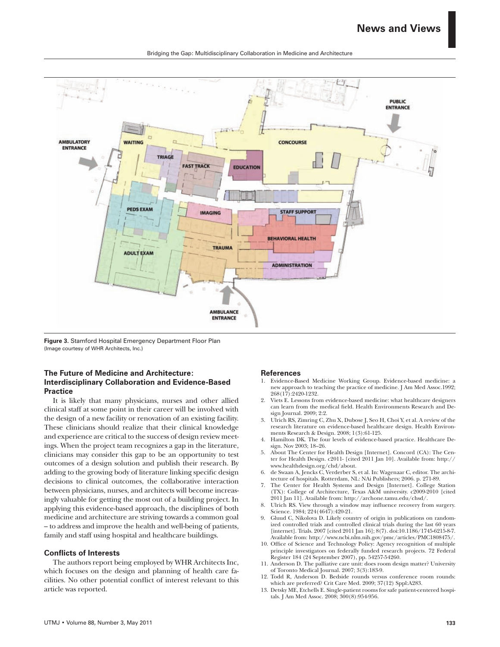

Bridging the Gap: Multidisciplinary Collaboration in Medicine and Architecture

**Figure 3.** Stamford Hospital Emergency Department Floor Plan (Image courtesy of WHR Architects, Inc.)

## **The Future of Medicine and Architecture: Interdisciplinary Collaboration and Evidence-Based Practice**

It is likely that many physicians, nurses and other allied clinical staff at some point in their career will be involved with the design of a new facility or renovation of an existing facility. These clinicians should realize that their clinical knowledge and experience are critical to the success of design review meetings. When the project team recognizes a gap in the literature, clinicians may consider this gap to be an opportunity to test outcomes of a design solution and publish their research. By adding to the growing body of literature linking specific design decisions to clinical outcomes, the collaborative interaction between physicians, nurses, and architects will become increasingly valuable for getting the most out of a building project. In applying this evidence-based approach, the disciplines of both medicine and architecture are striving towards a common goal – to address and improve the health and well-being of patients, family and staff using hospital and healthcare buildings.

## **Conflicts of Interests**

The authors report being employed by WHR Architects Inc, which focuses on the design and planning of health care facilities. No other potential conflict of interest relevant to this article was reported.

## **References**

- 1. Evidence-Based Medicine Working Group. Evidence-based medicine: a new approach to teaching the practice of medicine. J Am Med Assoc.1992; 268(17):2420-1232.
- 2. Viets E. Lessons from evidence-based medicine: what healthcare designers can learn from the medical field. Health Environments Research and Design Journal. 2009; 2:2.
- 3. Ulrich RS, Zimring C, Zhu X, Dubose J, Seo H, Choi Y, et al. A review of the research literature on evidence-based healthcare design. Health Environments Research & Design. 2008; 1(3):61-125.
- 4. Hamilton DK. The four levels of evidence-based practice. Healthcare Design. Nov 2003; 18–26.
- 5. About The Center for Health Design [Internet]. Concord (CA): The Center for Health Design. c2011- [cited 2011 Jan 10]. Available from: http:// www.healthdesign.org/chd/about.
- 6. de Swaan A, Jencks C, Verderber S, et al. In: Wagenaar C, editor. The architecture of hospitals. Rotterdam, NL: NAi Publishers; 2006. p. 271-89.
- The Center for Health Systems and Design [Internet]. College Station (TX): College of Architecture, Texas A&M university. c2009-2010 [cited 2011 Jan 11]. Available from: http://archone.tamu.edu/chsd/.
- 8. Ulrich RS. View through a window may influence recovery from surgery. Science. 1984; 224(4647):420-21.
- 9. Gluud C, Nikolova D. Likely country of origin in publications on randomized controlled trials and controlled clinical trials during the last 60 years [internet]. Trials. 2007 [cited 2011 Jan 16]; 8(7). doi:10.1186/1745-6215-8-7. Available from: http://www.ncbi.nlm.nih.gov/pmc/articles/PMC1808475/.
- 10. Office of Science and Technology Policy: Agency recognition of multiple principle investigators on federally funded research projects. 72 Federal Register 184 (24 September 2007), pp. 54257-54260.
- 11. Anderson D. The palliative care unit: does room design matter? University of Toronto Medical Journal. 2007; 3(3):183-9.
- 12. Todd R, Anderson D. Bedside rounds versus conference room rounds: which are preferred? Crit Care Med. 2009; 37(12) Sppl:A283.
- 13. Detsky ME, Etchells E. Single-patient rooms for safe patient-centered hospitals. J Am Med Assoc. 2008; 300(8):954-956.